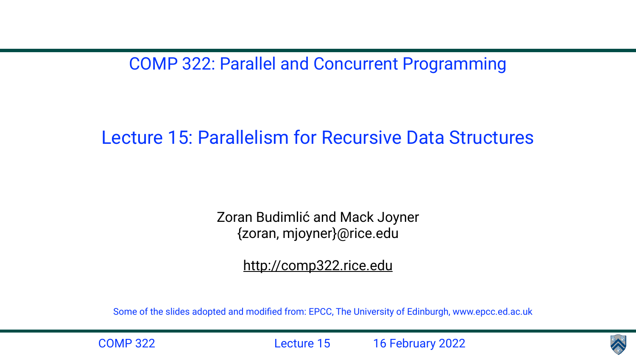COMP 322: Parallel and Concurrent Programming

## Lecture 15: Parallelism for Recursive Data Structures

Zoran Budimlić and Mack Joyner {zoran, mjoyner}@rice.edu

<http://comp322.rice.edu>

COMP 322 Lecture 15 16 February 2022



Some of the slides adopted and modified from: EPCC, The University of Edinburgh, www.epcc.ed.ac.uk

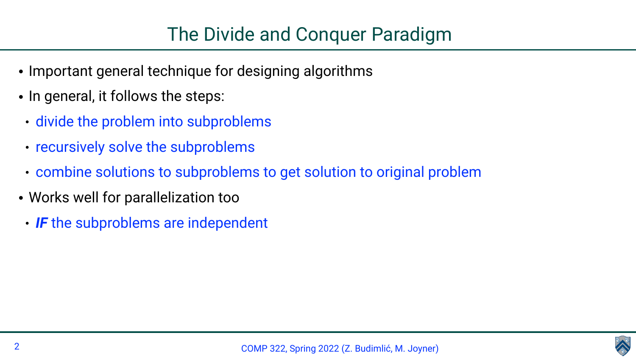

- Important general technique for designing algorithms
- In general, it follows the steps:
	- divide the problem into subproblems
	- recursively solve the subproblems
	- combine solutions to subproblems to get solution to original problem
- Works well for parallelization too
- *IF* the subproblems are independent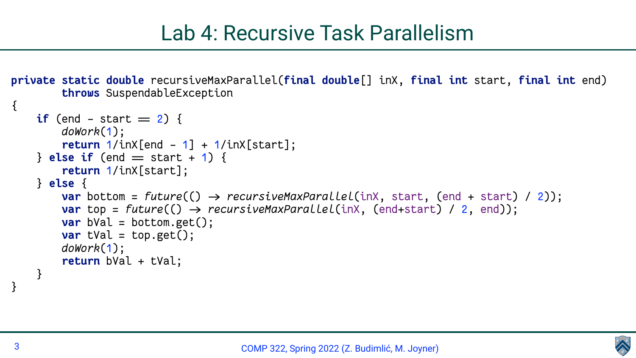



# Lab 4: Recursive Task Parallelism

**private static double** recursiveMaxParallel(**final double**[] inX, **final int** start, **final int** end)

**var** bottom = *future*(() → *recursiveMaxParallel*(inX, start, (end + start) / 2));

```
 throws SuspendableException 
\{if (end - start = 2) {
         doWork(1);
        \text{return } 1/\text{inX}[\text{end } - 1] + 1/\text{inX}[\text{start}];\} else if (end = start +1) {
         return 1/inX[start];
     } else {
         var top = future(() > recursiveMaxParallel(inX, (end+start) / 2, end));
        var bVal = bottom.get();
        var tVal = top.get();
         doWork(1);
         return bVal + tVal;
 }
}
```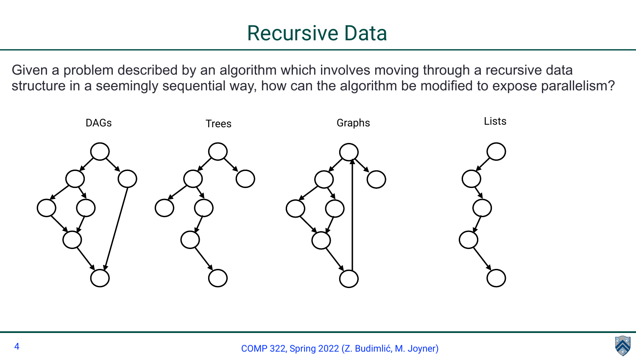



# Recursive Data

Given a problem described by an algorithm which involves moving through a recursive data structure in a seemingly sequential way, how can the algorithm be modified to expose parallelism?

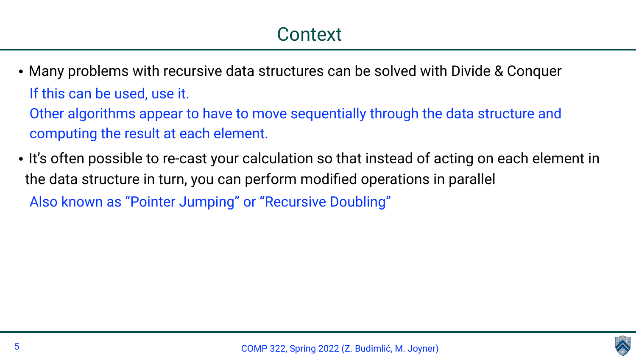

- Many problems with recursive data structures can be solved with Divide & Conquer If this can be used, use it. Other algorithms appear to have to move sequentially through the data structure and computing the result at each element.
- the data structure in turn, you can perform modified operations in parallel Also known as "Pointer Jumping" or "Recursive Doubling"

• It's often possible to re-cast your calculation so that instead of acting on each element in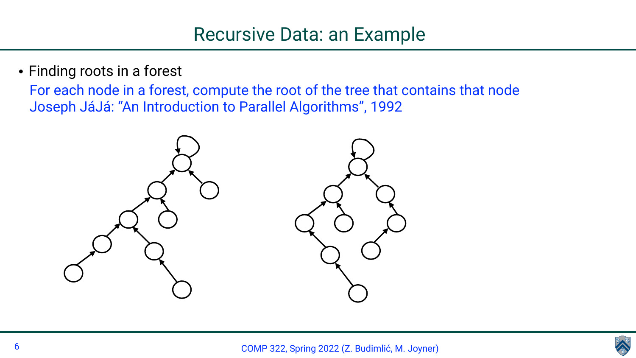



• Finding roots in a forest For each node in a forest, compute the root of the tree that contains that node Joseph JáJá: "An Introduction to Parallel Algorithms", 1992

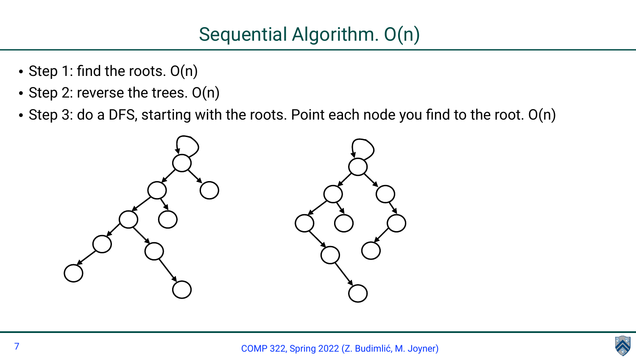

- Step 1: find the roots. O(n)
- Step 2: reverse the trees. O(n)
- Step 3: do a DFS, starting with the roots. Point each node you find to the root. O(n)



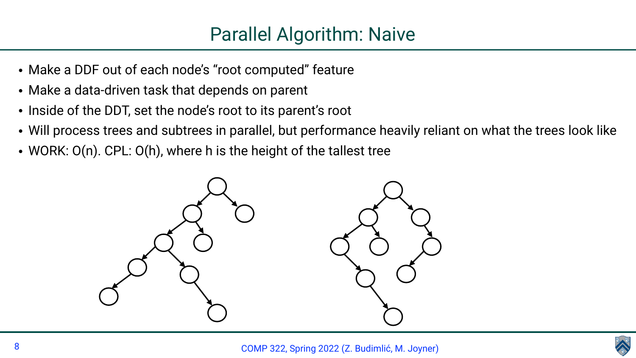

- Make a DDF out of each node's "root computed" feature
- Make a data-driven task that depends on parent
- Inside of the DDT, set the node's root to its parent's root
- Will process trees and subtrees in parallel, but performance heavily reliant on what the trees look like
- WORK:  $O(n)$ . CPL:  $O(h)$ , where h is the height of the tallest tree



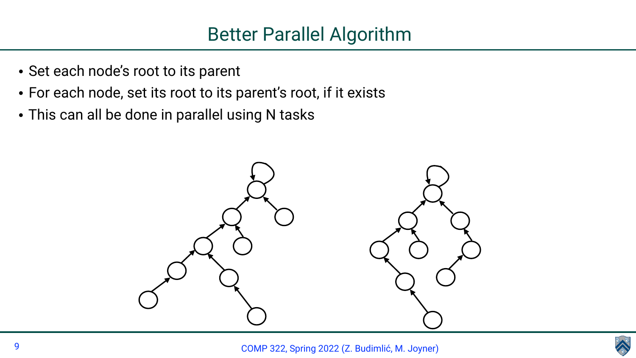

- Set each node's root to its parent
- For each node, set its root to its parent's root, if it exists
- This can all be done in parallel using N tasks



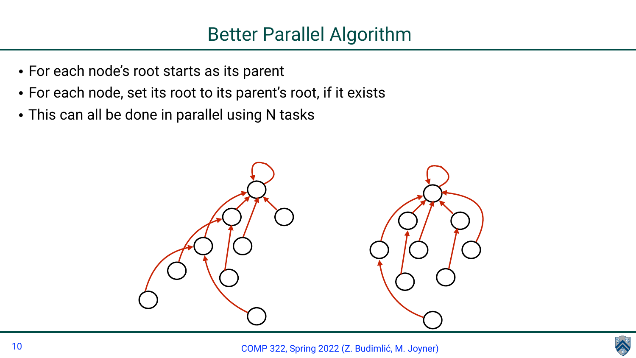

- For each node's root starts as its parent
- For each node, set its root to its parent's root, if it exists
- This can all be done in parallel using N tasks



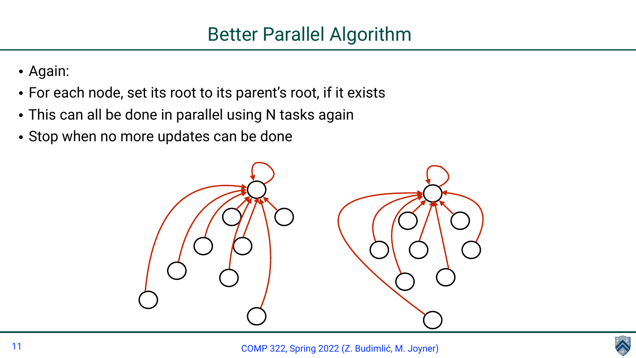

- Again:
- For each node, set its root to its parent's root, if it exists
- This can all be done in parallel using N tasks again
- Stop when no more updates can be done



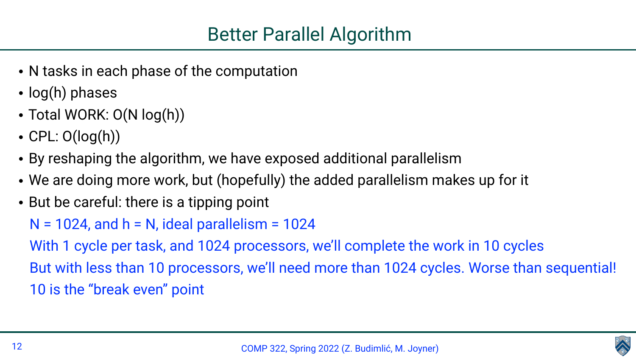- N tasks in each phase of the computation
- log(h) phases
- Total WORK: O(N log(h))
- $CPL: O(log(h))$
- By reshaping the algorithm, we have exposed additional parallelism • We are doing more work, but (hopefully) the added parallelism makes up for it
- 
- But be careful: there is a tipping point  $N = 1024$ , and  $h = N$ , ideal parallelism = 1024 With 1 cycle per task, and 1024 processors, we'll complete the work in 10 cycles But with less than 10 processors, we'll need more than 1024 cycles. Worse than sequential! 10 is the "break even" point



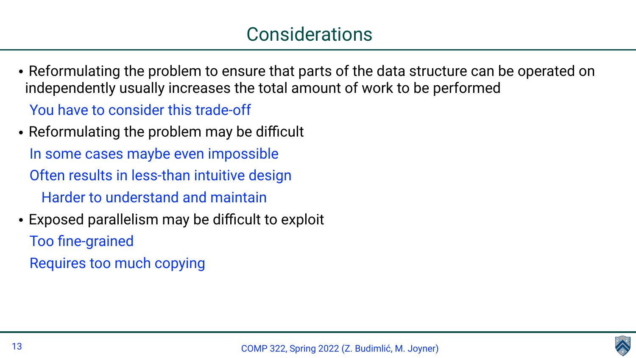

### Considerations

• Reformulating the problem to ensure that parts of the data structure can be operated on

- independently usually increases the total amount of work to be performed You have to consider this trade-off
- Reformulating the problem may be difficult In some cases maybe even impossible Often results in less-than intuitive design Harder to understand and maintain
- Exposed parallelism may be difficult to exploit Too fine-grained Requires too much copying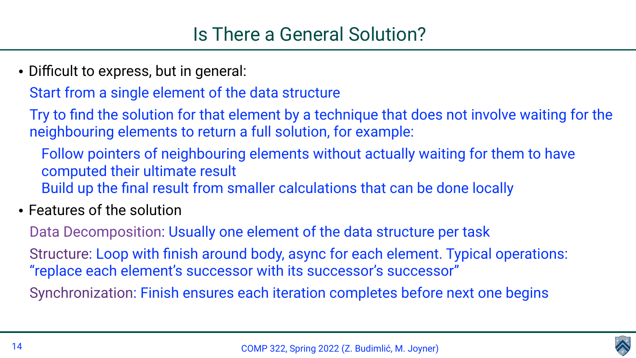- Difficult to express, but in general: Start from a single element of the data structure Try to find the solution for that element by a technique that does not involve waiting for the neighbouring elements to return a full solution, for example: Follow pointers of neighbouring elements without actually waiting for them to have computed their ultimate result Build up the final result from smaller calculations that can be done locally
- Features of the solution

- 
- Structure: Loop with finish around body, async for each element. Typical operations:
	-





Data Decomposition: Usually one element of the data structure per task "replace each element's successor with its successor's successor" Synchronization: Finish ensures each iteration completes before next one begins